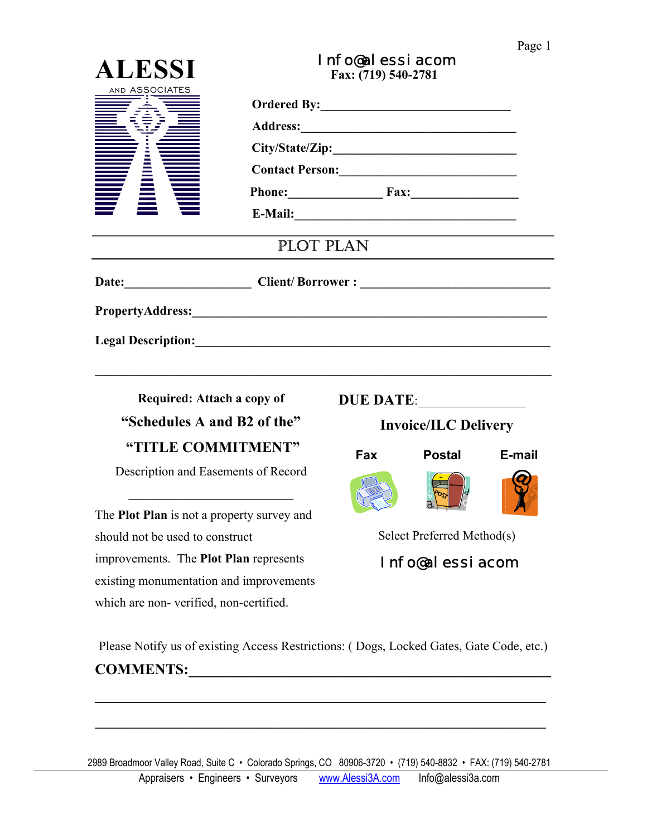## Page 1

| <b>ALESSI</b>                                                                                                                                                                                                                        | Info@alessiacom<br>Fax: (719) 540-2781 |                             |               |        |
|--------------------------------------------------------------------------------------------------------------------------------------------------------------------------------------------------------------------------------------|----------------------------------------|-----------------------------|---------------|--------|
| AND ASSOCIATES                                                                                                                                                                                                                       |                                        |                             |               |        |
|                                                                                                                                                                                                                                      | Phone: Fax: Fax:                       |                             |               |        |
|                                                                                                                                                                                                                                      |                                        |                             |               |        |
|                                                                                                                                                                                                                                      |                                        |                             |               |        |
|                                                                                                                                                                                                                                      |                                        |                             |               |        |
|                                                                                                                                                                                                                                      |                                        |                             |               |        |
|                                                                                                                                                                                                                                      | PLOT PLAN                              |                             |               |        |
|                                                                                                                                                                                                                                      |                                        |                             |               |        |
|                                                                                                                                                                                                                                      |                                        |                             |               |        |
| Legal Description: <u>contract the contract of the contract of the contract of the contract of the contract of the contract of the contract of the contract of the contract of the contract of the contract of the contract of t</u> |                                        |                             |               |        |
| Required: Attach a copy of                                                                                                                                                                                                           |                                        |                             | DUE DATE:     |        |
| "Schedules A and B2 of the"                                                                                                                                                                                                          |                                        | <b>Invoice/ILC Delivery</b> |               |        |
| "TITLE COMMITMENT"                                                                                                                                                                                                                   |                                        | Fax                         | <b>Postal</b> | E-mail |
| Description and Easements of Record                                                                                                                                                                                                  |                                        |                             | $\sqrt{2}$    |        |
| The Plot Plan is not a property survey and                                                                                                                                                                                           |                                        |                             |               |        |
| should not be used to construct                                                                                                                                                                                                      |                                        | Select Preferred Method(s)  |               |        |
| improvements. The Plot Plan represents                                                                                                                                                                                               |                                        | Info@dassigrom              |               |        |

Info@alessiacom

Please Notify us of existing Access Restrictions: ( Dogs, Locked Gates, Gate Code, etc.) **COMMENTS:\_\_\_\_\_\_\_\_\_\_\_\_\_\_\_\_\_\_\_\_\_\_\_\_\_\_\_\_\_\_\_\_\_\_\_\_\_\_\_\_\_\_\_\_\_\_\_\_\_** 

**\_\_\_\_\_\_\_\_\_\_\_\_\_\_\_\_\_\_\_\_\_\_\_\_\_\_\_\_\_\_\_\_\_\_\_\_\_\_\_\_\_\_\_\_\_\_\_\_\_\_\_\_\_\_\_\_\_\_\_\_\_**

**\_\_\_\_\_\_\_\_\_\_\_\_\_\_\_\_\_\_\_\_\_\_\_\_\_\_\_\_\_\_\_\_\_\_\_\_\_\_\_\_\_\_\_\_\_\_\_\_\_\_\_\_\_\_\_\_\_\_\_\_\_** 

existing monumentation and improvements

which are non- verified, non-certified.

2989 Broadmoor Valley Road, Suite C • Colorado Springs, CO 80906-3720 • (719) 540-8832 • FAX: (719) 540-2781